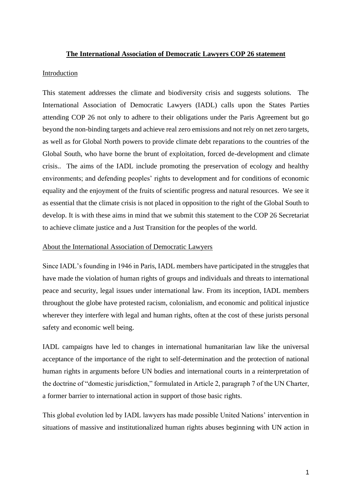### **The International Association of Democratic Lawyers COP 26 statement**

### Introduction

This statement addresses the climate and biodiversity crisis and suggests solutions. The International Association of Democratic Lawyers (IADL) calls upon the States Parties attending COP 26 not only to adhere to their obligations under the Paris Agreement but go beyond the non-binding targets and achieve real zero emissions and not rely on net zero targets, as well as for Global North powers to provide climate debt reparations to the countries of the Global South, who have borne the brunt of exploitation, forced de-development and climate crisis.. The aims of the IADL include promoting the preservation of ecology and healthy environments; and defending peoples' rights to development and for conditions of economic equality and the enjoyment of the fruits of scientific progress and natural resources. We see it as essential that the climate crisis is not placed in opposition to the right of the Global South to develop. It is with these aims in mind that we submit this statement to the COP 26 Secretariat to achieve climate justice and a Just Transition for the peoples of the world.

### About the International Association of Democratic Lawyers

Since IADL's founding in 1946 in Paris, IADL members have participated in the struggles that have made the violation of human rights of groups and individuals and threats to international peace and security, legal issues under international law. From its inception, IADL members throughout the globe have protested racism, colonialism, and economic and political injustice wherever they interfere with legal and human rights, often at the cost of these jurists personal safety and economic well being.

IADL campaigns have led to changes in international humanitarian law like the universal acceptance of the importance of the right to self-determination and the protection of national human rights in arguments before UN bodies and international courts in a reinterpretation of the doctrine of "domestic jurisdiction," formulated in Article 2, paragraph 7 of the UN Charter, a former barrier to international action in support of those basic rights.

This global evolution led by IADL lawyers has made possible United Nations' intervention in situations of massive and institutionalized human rights abuses beginning with UN action in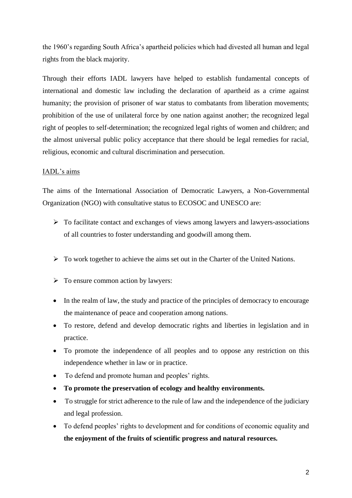the 1960's regarding South Africa's apartheid policies which had divested all human and legal rights from the black majority.

Through their efforts IADL lawyers have helped to establish fundamental concepts of international and domestic law including the declaration of apartheid as a crime against humanity; the provision of prisoner of war status to combatants from liberation movements; prohibition of the use of unilateral force by one nation against another; the recognized legal right of peoples to self-determination; the recognized legal rights of women and children; and the almost universal public policy acceptance that there should be legal remedies for racial, religious, economic and cultural discrimination and persecution.

### IADL's aims

The aims of the International Association of Democratic Lawyers, a Non-Governmental Organization (NGO) with consultative status to ECOSOC and UNESCO are:

- ➢ To facilitate contact and exchanges of views among lawyers and lawyers-associations of all countries to foster understanding and goodwill among them.
- $\triangleright$  To work together to achieve the aims set out in the Charter of the United Nations.
- $\triangleright$  To ensure common action by lawyers:
- In the realm of law, the study and practice of the principles of democracy to encourage the maintenance of peace and cooperation among nations.
- To restore, defend and develop democratic rights and liberties in legislation and in practice.
- To promote the independence of all peoples and to oppose any restriction on this independence whether in law or in practice.
- To defend and promote human and peoples' rights.
- **To promote the preservation of ecology and healthy environments.**
- To struggle for strict adherence to the rule of law and the independence of the judiciary and legal profession.
- To defend peoples' rights to development and for conditions of economic equality and **the enjoyment of the fruits of scientific progress and natural resources.**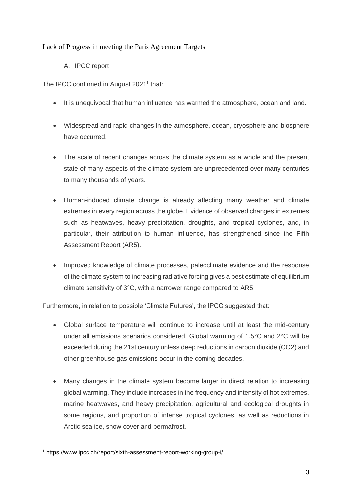# Lack of Progress in meeting the Paris Agreement Targets

# A. IPCC report

The IPCC confirmed in August 2021<sup>1</sup> that:

- It is unequivocal that human influence has warmed the atmosphere, ocean and land.
- Widespread and rapid changes in the atmosphere, ocean, cryosphere and biosphere have occurred.
- The scale of recent changes across the climate system as a whole and the present state of many aspects of the climate system are unprecedented over many centuries to many thousands of years.
- Human-induced climate change is already affecting many weather and climate extremes in every region across the globe. Evidence of observed changes in extremes such as heatwaves, heavy precipitation, droughts, and tropical cyclones, and, in particular, their attribution to human influence, has strengthened since the Fifth Assessment Report (AR5).
- Improved knowledge of climate processes, paleoclimate evidence and the response of the climate system to increasing radiative forcing gives a best estimate of equilibrium climate sensitivity of 3°C, with a narrower range compared to AR5.

Furthermore, in relation to possible 'Climate Futures', the IPCC suggested that:

- Global surface temperature will continue to increase until at least the mid-century under all emissions scenarios considered. Global warming of 1.5°C and 2°C will be exceeded during the 21st century unless deep reductions in carbon dioxide (CO2) and other greenhouse gas emissions occur in the coming decades.
- Many changes in the climate system become larger in direct relation to increasing global warming. They include increases in the frequency and intensity of hot extremes, marine heatwaves, and heavy precipitation, agricultural and ecological droughts in some regions, and proportion of intense tropical cyclones, as well as reductions in Arctic sea ice, snow cover and permafrost.

<sup>1</sup> https://www.ipcc.ch/report/sixth-assessment-report-working-group-i/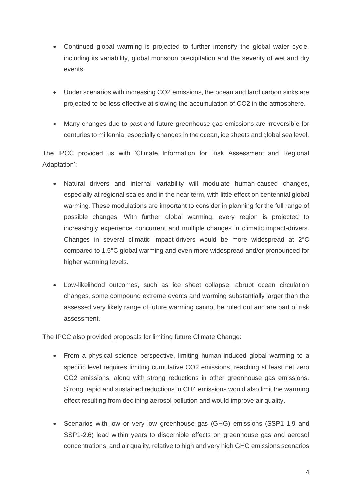- Continued global warming is projected to further intensify the global water cycle, including its variability, global monsoon precipitation and the severity of wet and dry events.
- Under scenarios with increasing CO2 emissions, the ocean and land carbon sinks are projected to be less effective at slowing the accumulation of CO2 in the atmosphere.
- Many changes due to past and future greenhouse gas emissions are irreversible for centuries to millennia, especially changes in the ocean, ice sheets and global sea level.

The IPCC provided us with 'Climate Information for Risk Assessment and Regional Adaptation':

- Natural drivers and internal variability will modulate human-caused changes, especially at regional scales and in the near term, with little effect on centennial global warming. These modulations are important to consider in planning for the full range of possible changes. With further global warming, every region is projected to increasingly experience concurrent and multiple changes in climatic impact-drivers. Changes in several climatic impact-drivers would be more widespread at 2°C compared to 1.5°C global warming and even more widespread and/or pronounced for higher warming levels.
- Low-likelihood outcomes, such as ice sheet collapse, abrupt ocean circulation changes, some compound extreme events and warming substantially larger than the assessed very likely range of future warming cannot be ruled out and are part of risk assessment.

The IPCC also provided proposals for limiting future Climate Change:

- From a physical science perspective, limiting human-induced global warming to a specific level requires limiting cumulative CO2 emissions, reaching at least net zero CO2 emissions, along with strong reductions in other greenhouse gas emissions. Strong, rapid and sustained reductions in CH4 emissions would also limit the warming effect resulting from declining aerosol pollution and would improve air quality.
- Scenarios with low or very low greenhouse gas (GHG) emissions (SSP1-1.9 and SSP1-2.6) lead within years to discernible effects on greenhouse gas and aerosol concentrations, and air quality, relative to high and very high GHG emissions scenarios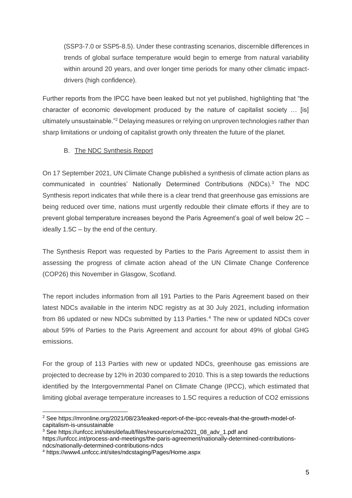(SSP3-7.0 or SSP5-8.5). Under these contrasting scenarios, discernible differences in trends of global surface temperature would begin to emerge from natural variability within around 20 years, and over longer time periods for many other climatic impactdrivers (high confidence).

Further reports from the IPCC have been leaked but not yet published, highlighting that "the character of economic development produced by the nature of capitalist society … [is] ultimately unsustainable."<sup>2</sup> Delaying measures or relying on unproven technologies rather than sharp limitations or undoing of capitalist growth only threaten the future of the planet.

### B. The NDC Synthesis Report

On 17 September 2021, UN Climate Change published a synthesis of climate action plans as communicated in countries' Nationally Determined Contributions (NDCs).<sup>3</sup> The NDC Synthesis report indicates that while there is a clear trend that greenhouse gas emissions are being reduced over time, nations must urgently redouble their climate efforts if they are to prevent global temperature increases beyond the Paris Agreement's goal of well below 2C – ideally 1.5C – by the end of the century.

The Synthesis Report was requested by Parties to the Paris Agreement to assist them in assessing the progress of climate action ahead of the UN Climate Change Conference (COP26) this November in Glasgow, Scotland.

The report includes information from all 191 Parties to the Paris Agreement based on their latest NDCs available in the interim NDC registry as at 30 July 2021, including information from 86 updated or new NDCs submitted by 113 Parties.<sup>4</sup> The new or updated NDCs cover about 59% of Parties to the Paris Agreement and account for about 49% of global GHG emissions.

For the group of 113 Parties with new or updated NDCs, greenhouse gas emissions are projected to decrease by 12% in 2030 compared to 2010. This is a step towards the reductions identified by the Intergovernmental Panel on Climate Change (IPCC), which estimated that limiting global average temperature increases to 1.5C requires a reduction of CO2 emissions

<sup>&</sup>lt;sup>2</sup> See https://mronline.org/2021/08/23/leaked-report-of-the-ipcc-reveals-that-the-growth-model-ofcapitalism-is-unsustainable

<sup>&</sup>lt;sup>3</sup> See https://unfccc.int/sites/default/files/resource/cma2021\_08\_adv\_1.pdf and

https://unfccc.int/process-and-meetings/the-paris-agreement/nationally-determined-contributionsndcs/nationally-determined-contributions-ndcs

<sup>4</sup> https://www4.unfccc.int/sites/ndcstaging/Pages/Home.aspx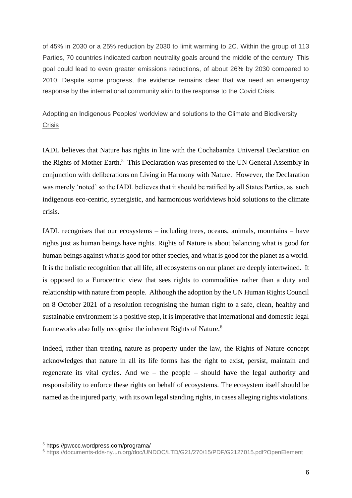of 45% in 2030 or a 25% reduction by 2030 to limit warming to 2C. Within the group of 113 Parties, 70 countries indicated carbon neutrality goals around the middle of the century. This goal could lead to even greater emissions reductions, of about 26% by 2030 compared to 2010. Despite some progress, the evidence remains clear that we need an emergency response by the international community akin to the response to the Covid Crisis.

# Adopting an Indigenous Peoples' worldview and solutions to the Climate and Biodiversity Crisis

IADL believes that Nature has rights in line with the Cochabamba Universal Declaration on the Rights of Mother Earth.<sup>5</sup> This Declaration was presented to the UN General Assembly in conjunction with deliberations on Living in Harmony with Nature. However, the Declaration was merely 'noted' so the IADL believes that it should be ratified by all States Parties, as such indigenous eco-centric, synergistic, and harmonious worldviews hold solutions to the climate crisis.

IADL recognises that our ecosystems – including trees, oceans, animals, mountains – have rights just as human beings have rights. Rights of Nature is about balancing what is good for human beings against what is good for other species, and what is good for the planet as a world. It is the holistic recognition that all life, all ecosystems on our planet are deeply intertwined. It is opposed to a Eurocentric view that sees rights to commodities rather than a duty and relationship with nature from people. Although the adoption by the UN Human Rights Council on 8 October 2021 of a resolution recognising the human right to a safe, clean, healthy and sustainable environment is a positive step, it is imperative that international and domestic legal frameworks also fully recognise the inherent Rights of Nature.<sup>6</sup>

Indeed, rather than treating nature as property under the law, the Rights of Nature concept acknowledges that nature in all its life forms has the right to exist, persist, maintain and regenerate its vital cycles. And we – the people – should have the legal authority and responsibility to enforce these rights on behalf of ecosystems. The ecosystem itself should be named as the injured party, with its own legal standing rights, in cases alleging rights violations.

<sup>5</sup> https://pwccc.wordpress.com/programa/

<sup>6</sup> https://documents-dds-ny.un.org/doc/UNDOC/LTD/G21/270/15/PDF/G2127015.pdf?OpenElement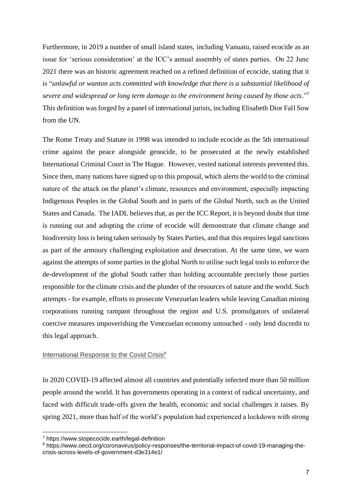Furthermore, in 2019 a number of small island states, including Vanuatu, raised ecocide as an issue for 'serious consideration' at the ICC's annual assembly of states parties. On 22 June 2021 there was an historic agreement reached on a refined definition of ecocide, stating that it is "*unlawful or wanton acts committed with knowledge that there is a substantial likelihood of severe and widespread or long term damage to the environment being caused by those acts*."<sup>7</sup> This definition was forged by a panel of international jurists, including Elisabeth Dior Fall Sow from the UN.

The Rome Treaty and Statute in 1998 was intended to include ecocide as the 5th international crime against the peace alongside genocide, to be prosecuted at the newly established International Criminal Court in The Hague. However, vested national interests prevented this. Since then, many nations have signed up to this proposal, which alerts the world to the criminal nature of the attack on the planet's climate, resources and environment, especially impacting Indigenous Peoples in the Global South and in parts of the Global North, such as the United States and Canada. The IADL believes that, as per the ICC Report, it is beyond doubt that time is running out and adopting the crime of ecocide will demonstrate that climate change and biodiversity loss is being taken seriously by States Parties, and that this requires legal sanctions as part of the armoury challenging exploitation and desecration. At the same time, we warn against the attempts of some parties in the global North to utilise such legal tools to enforce the de-development of the global South rather than holding accountable precisely those parties responsible for the climate crisis and the plunder of the resources of nature and the world. Such attempts - for example, efforts to prosecute Venezuelan leaders while leaving Canadian mining corporations running rampant throughout the region and U.S. promulgators of unilateral coercive measures impoverishing the Venezuelan economy untouched - only lend discredit to this legal approach.

### International Response to the Covid Crisis<sup>8</sup>

In 2020 COVID-19 affected almost all countries and potentially infected more than 50 million people around the world. It has governments operating in a context of radical uncertainty, and faced with difficult trade-offs given the health, economic and social challenges it raises. By spring 2021, more than half of the world's population had experienced a lockdown with strong

<sup>7</sup> https://www.stopecocide.earth/legal-definition

<sup>8</sup> https://www.oecd.org/coronavirus/policy-responses/the-territorial-impact-of-covid-19-managing-thecrisis-across-levels-of-government-d3e314e1/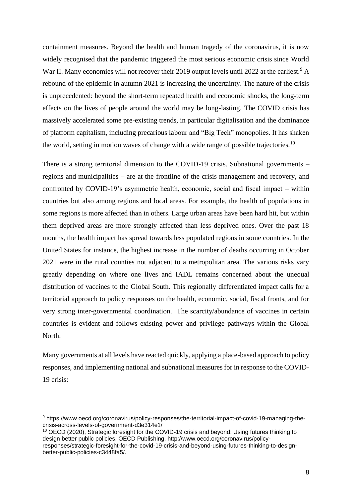containment measures. Beyond the health and human tragedy of the coronavirus, it is now widely recognised that the pandemic triggered the most serious economic crisis since World War II. Many economies will not recover their 2019 output levels until 2022 at the earliest.<sup>9</sup> A rebound of the epidemic in autumn 2021 is increasing the uncertainty. The nature of the crisis is unprecedented: beyond the short-term repeated health and economic shocks, the long-term effects on the lives of people around the world may be long-lasting. The COVID crisis has massively accelerated some pre-existing trends, in particular digitalisation and the dominance of platform capitalism, including precarious labour and "Big Tech" monopolies. It has shaken the world, setting in motion waves of change with a wide range of possible trajectories.<sup>10</sup>

There is a strong territorial dimension to the COVID-19 crisis. Subnational governments – regions and municipalities – are at the frontline of the crisis management and recovery, and confronted by COVID-19's asymmetric health, economic, social and fiscal impact – within countries but also among regions and local areas. For example, the health of populations in some regions is more affected than in others. Large urban areas have been hard hit, but within them deprived areas are more strongly affected than less deprived ones. Over the past 18 months, the health impact has spread towards less populated regions in some countries. In the United States for instance, the highest increase in the number of deaths occurring in October 2021 were in the rural counties not adjacent to a metropolitan area. The various risks vary greatly depending on where one lives and IADL remains concerned about the unequal distribution of vaccines to the Global South. This regionally differentiated impact calls for a territorial approach to policy responses on the health, economic, social, fiscal fronts, and for very strong inter-governmental coordination. The scarcity/abundance of vaccines in certain countries is evident and follows existing power and privilege pathways within the Global North.

Many governments at all levels have reacted quickly, applying a place-based approach to policy responses, and implementing national and subnational measures for in response to the COVID-19 crisis:

<sup>9</sup> https://www.oecd.org/coronavirus/policy-responses/the-territorial-impact-of-covid-19-managing-thecrisis-across-levels-of-government-d3e314e1/

<sup>&</sup>lt;sup>10</sup> OECD (2020), Strategic foresight for the COVID-19 crisis and beyond: Using futures thinking to design better public policies, OECD Publishing, http://www.oecd.org/coronavirus/policyresponses/strategic-foresight-for-the-covid-19-crisis-and-beyond-using-futures-thinking-to-designbetter-public-policies-c3448fa5/.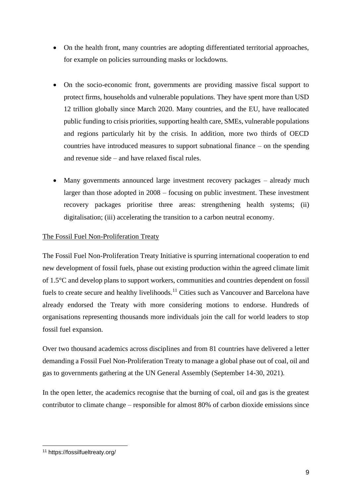- On the health front, many countries are adopting differentiated territorial approaches, for example on policies surrounding masks or lockdowns.
- On the socio-economic front, governments are providing massive fiscal support to protect firms, households and vulnerable populations. They have spent more than USD 12 trillion globally since March 2020. Many countries, and the EU, have reallocated public funding to crisis priorities, supporting health care, SMEs, vulnerable populations and regions particularly hit by the crisis. In addition, more two thirds of OECD countries have introduced measures to support subnational finance – on the spending and revenue side – and have relaxed fiscal rules.
- Many governments announced large investment recovery packages already much larger than those adopted in 2008 – focusing on public investment. These investment recovery packages prioritise three areas: strengthening health systems; (ii) digitalisation; (iii) accelerating the transition to a carbon neutral economy.

# The Fossil Fuel Non-Proliferation Treaty

The Fossil Fuel Non-Proliferation Treaty Initiative is spurring international cooperation to end new development of fossil fuels, phase out existing production within the agreed climate limit of 1.5°C and develop plans to support workers, communities and countries dependent on fossil fuels to create secure and healthy livelihoods.<sup>11</sup> Cities such as Vancouver and Barcelona have already endorsed the Treaty with more considering motions to endorse. Hundreds of organisations representing thousands more individuals join the call for world leaders to stop fossil fuel expansion.

Over two thousand academics across disciplines and from 81 countries have delivered a letter demanding a Fossil Fuel Non-Proliferation Treaty to manage a global phase out of coal, oil and gas to governments gathering at the UN General Assembly (September 14-30, 2021).

In the open letter, the academics recognise that the burning of coal, oil and gas is the greatest contributor to climate change – responsible for almost 80% of carbon dioxide emissions since

<sup>11</sup> https://fossilfueltreaty.org/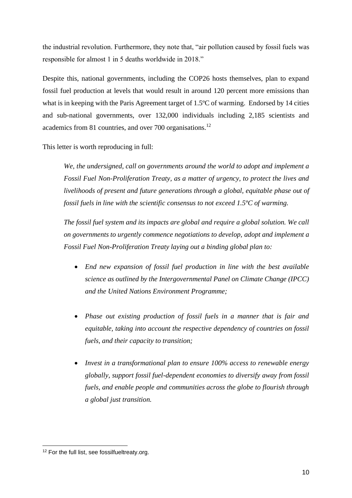the industrial revolution. Furthermore, they note that, "air pollution caused by fossil fuels was responsible for almost 1 in 5 deaths worldwide in 2018."

Despite this, national governments, including the COP26 hosts themselves, plan to expand fossil fuel production at levels that would result in around 120 percent more emissions than what is in keeping with the Paris Agreement target of 1.5ºC of warming. Endorsed by 14 cities and sub-national governments, over 132,000 individuals including 2,185 scientists and academics from 81 countries, and over 700 organisations.<sup>12</sup>

This letter is worth reproducing in full:

*We, the undersigned, call on governments around the world to adopt and implement a Fossil Fuel Non-Proliferation Treaty, as a matter of urgency, to protect the lives and livelihoods of present and future generations through a global, equitable phase out of fossil fuels in line with the scientific consensus to not exceed 1.5ºC of warming.*

*The fossil fuel system and its impacts are global and require a global solution. We call on governments to urgently commence negotiations to develop, adopt and implement a Fossil Fuel Non-Proliferation Treaty laying out a binding global plan to:*

- *End new expansion of fossil fuel production in line with the best available science as outlined by the Intergovernmental Panel on Climate Change (IPCC) and the United Nations Environment Programme;*
- *Phase out existing production of fossil fuels in a manner that is fair and equitable, taking into account the respective dependency of countries on fossil fuels, and their capacity to transition;*
- *Invest in a transformational plan to ensure 100% access to renewable energy globally, support fossil fuel-dependent economies to diversify away from fossil fuels, and enable people and communities across the globe to flourish through a global just transition.*

<sup>&</sup>lt;sup>12</sup> For the full list, see fossilfueltreaty.org.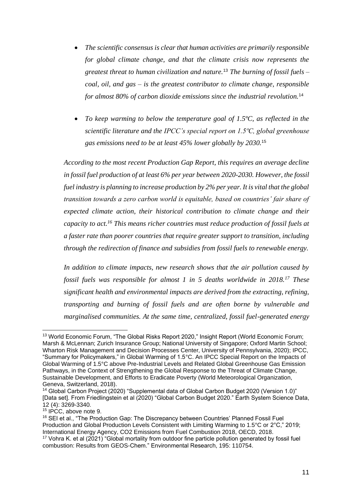- *The scientific consensus is clear that human activities are primarily responsible for global climate change, and that the climate crisis now represents the greatest threat to human civilization and nature.*<sup>13</sup> *The burning of fossil fuels – coal, oil, and gas – is the greatest contributor to climate change, responsible for almost 80% of carbon dioxide emissions since the industrial revolution.*<sup>14</sup>
- *To keep warming to below the temperature goal of 1.5ºC, as reflected in the scientific literature and the IPCC's special report on 1.5ºC, global greenhouse gas emissions need to be at least 45% lower globally by 2030.*<sup>15</sup>

*According to the most recent Production Gap Report, this requires an average decline in fossil fuel production of at least 6% per year between 2020-2030. However, the fossil fuel industry is planning to increase production by 2% per year. It is vital that the global transition towards a zero carbon world is equitable, based on countries' fair share of expected climate action, their historical contribution to climate change and their capacity to act.<sup>16</sup> This means richer countries must reduce production of fossil fuels at a faster rate than poorer countries that require greater support to transition, including through the redirection of finance and subsidies from fossil fuels to renewable energy.*

*In addition to climate impacts, new research shows that the air pollution caused by fossil fuels was responsible for almost 1 in 5 deaths worldwide in 2018.<sup>17</sup> These significant health and environmental impacts are derived from the extracting, refining, transporting and burning of fossil fuels and are often borne by vulnerable and marginalised communities. At the same time, centralized, fossil fuel-generated energy* 

<sup>&</sup>lt;sup>13</sup> World Economic Forum, "The Global Risks Report 2020," Insight Report (World Economic Forum; Marsh & McLennan; Zurich Insurance Group; National University of Singapore; Oxford Martin School; Wharton Risk Management and Decision Processes Center, University of Pennsylvania, 2020); IPCC, "Summary for Policymakers," in Global Warming of 1.5°C. An IPCC Special Report on the Impacts of Global Warming of 1.5°C above Pre-Industrial Levels and Related Global Greenhouse Gas Emission Pathways, in the Context of Strengthening the Global Response to the Threat of Climate Change, Sustainable Development, and Efforts to Eradicate Poverty (World Meteorological Organization, Geneva, Switzerland, 2018).

<sup>14</sup> Global Carbon Project (2020) "Supplemental data of Global Carbon Budget 2020 (Version 1.0)" [Data set]. From Friedlingstein et al (2020) "Global Carbon Budget 2020." Earth System Science Data, 12 (4): 3269-3340.

<sup>&</sup>lt;sup>15</sup> IPCC, above note 9.

<sup>&</sup>lt;sup>16</sup> SEI et al., "The Production Gap: The Discrepancy between Countries' Planned Fossil Fuel Production and Global Production Levels Consistent with Limiting Warming to 1.5°C or 2°C," 2019; International Energy Agency, CO2 Emissions from Fuel Combustion 2018, OECD, 2018.

<sup>&</sup>lt;sup>17</sup> Vohra K. et al (2021) "Global mortality from outdoor fine particle pollution generated by fossil fuel combustion: Results from GEOS-Chem." Environmental Research, 195: 110754.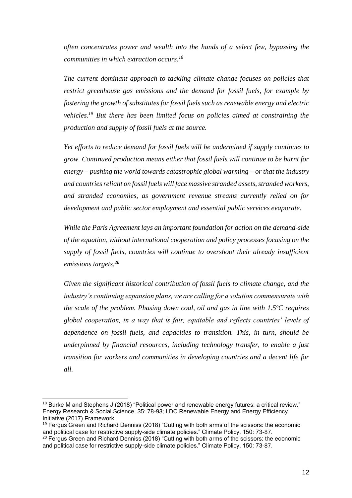*often concentrates power and wealth into the hands of a select few, bypassing the communities in which extraction occurs.<sup>18</sup>*

*The current dominant approach to tackling climate change focuses on policies that restrict greenhouse gas emissions and the demand for fossil fuels, for example by fostering the growth of substitutes for fossil fuels such as renewable energy and electric vehicles.<sup>19</sup> But there has been limited focus on policies aimed at constraining the production and supply of fossil fuels at the source.*

*Yet efforts to reduce demand for fossil fuels will be undermined if supply continues to grow. Continued production means either that fossil fuels will continue to be burnt for energy – pushing the world towards catastrophic global warming – or that the industry and countries reliant on fossil fuels will face massive stranded assets, stranded workers, and stranded economies, as government revenue streams currently relied on for development and public sector employment and essential public services evaporate.*

*While the Paris Agreement lays an important foundation for action on the demand-side of the equation, without international cooperation and policy processes focusing on the supply of fossil fuels, countries will continue to overshoot their already insufficient emissions targets.<sup>20</sup>*

*Given the significant historical contribution of fossil fuels to climate change, and the industry's continuing expansion plans, we are calling for a solution commensurate with the scale of the problem. Phasing down coal, oil and gas in line with 1.5ºC requires global cooperation, in a way that is fair, equitable and reflects countries' levels of dependence on fossil fuels, and capacities to transition. This, in turn, should be underpinned by financial resources, including technology transfer, to enable a just transition for workers and communities in developing countries and a decent life for all.*

 $18$  Burke M and Stephens J (2018) "Political power and renewable energy futures: a critical review." Energy Research & Social Science, 35: 78-93; LDC Renewable Energy and Energy Efficiency Initiative (2017) Framework.

<sup>&</sup>lt;sup>19</sup> Fergus Green and Richard Denniss (2018) "Cutting with both arms of the scissors: the economic and political case for restrictive supply-side climate policies." Climate Policy, 150: 73-87.

 $20$  Fergus Green and Richard Denniss (2018) "Cutting with both arms of the scissors: the economic and political case for restrictive supply-side climate policies." Climate Policy, 150: 73-87.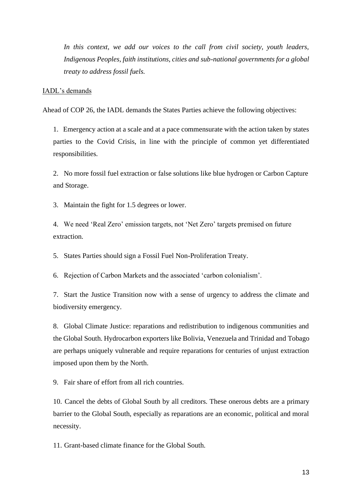*In this context, we add our voices to the call from civil society, youth leaders, Indigenous Peoples, faith institutions, cities and sub-national governments for a global treaty to address fossil fuels.*

#### IADL's demands

Ahead of COP 26, the IADL demands the States Parties achieve the following objectives:

1. Emergency action at a scale and at a pace commensurate with the action taken by states parties to the Covid Crisis, in line with the principle of common yet differentiated responsibilities.

2. No more fossil fuel extraction or false solutions like blue hydrogen or Carbon Capture and Storage.

3. Maintain the fight for 1.5 degrees or lower.

4. We need 'Real Zero' emission targets, not 'Net Zero' targets premised on future extraction.

5. States Parties should sign a Fossil Fuel Non-Proliferation Treaty.

6. Rejection of Carbon Markets and the associated 'carbon colonialism'.

7. Start the Justice Transition now with a sense of urgency to address the climate and biodiversity emergency.

8. Global Climate Justice: reparations and redistribution to indigenous communities and the Global South. Hydrocarbon exporters like Bolivia, Venezuela and Trinidad and Tobago are perhaps uniquely vulnerable and require reparations for centuries of unjust extraction imposed upon them by the North.

9. Fair share of effort from all rich countries.

10. Cancel the debts of Global South by all creditors. These onerous debts are a primary barrier to the Global South, especially as reparations are an economic, political and moral necessity.

11. Grant-based climate finance for the Global South.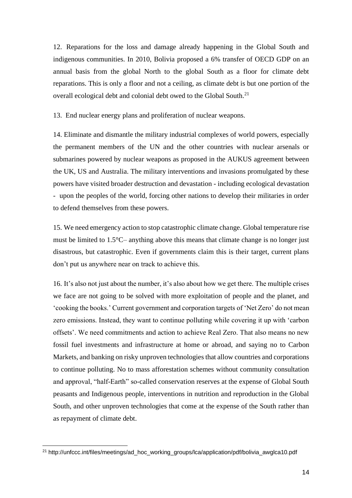12. Reparations for the loss and damage already happening in the Global South and indigenous communities. In 2010, Bolivia proposed a 6% transfer of OECD GDP on an annual basis from the global North to the global South as a floor for climate debt reparations. This is only a floor and not a ceiling, as climate debt is but one portion of the overall ecological debt and colonial debt owed to the Global South.<sup>21</sup>

13. End nuclear energy plans and proliferation of nuclear weapons.

14. Eliminate and dismantle the military industrial complexes of world powers, especially the permanent members of the UN and the other countries with nuclear arsenals or submarines powered by nuclear weapons as proposed in the AUKUS agreement between the UK, US and Australia. The military interventions and invasions promulgated by these powers have visited broader destruction and devastation - including ecological devastation - upon the peoples of the world, forcing other nations to develop their militaries in order to defend themselves from these powers.

15. We need emergency action to stop catastrophic climate change. Global temperature rise must be limited to 1.5°C– anything above this means that climate change is no longer just disastrous, but catastrophic. Even if governments claim this is their target, current plans don't put us anywhere near on track to achieve this.

16. It's also not just about the number, it's also about how we get there. The multiple crises we face are not going to be solved with more exploitation of people and the planet, and 'cooking the books.' Current government and corporation targets of 'Net Zero' do not mean zero emissions. Instead, they want to continue polluting while covering it up with 'carbon offsets'. We need commitments and action to achieve Real Zero. That also means no new fossil fuel investments and infrastructure at home or abroad, and saying no to Carbon Markets, and banking on risky unproven technologies that allow countries and corporations to continue polluting. No to mass afforestation schemes without community consultation and approval, "half-Earth" so-called conservation reserves at the expense of Global South peasants and Indigenous people, interventions in nutrition and reproduction in the Global South, and other unproven technologies that come at the expense of the South rather than as repayment of climate debt.

<sup>21</sup> http://unfccc.int/files/meetings/ad\_hoc\_working\_groups/lca/application/pdf/bolivia\_awglca10.pdf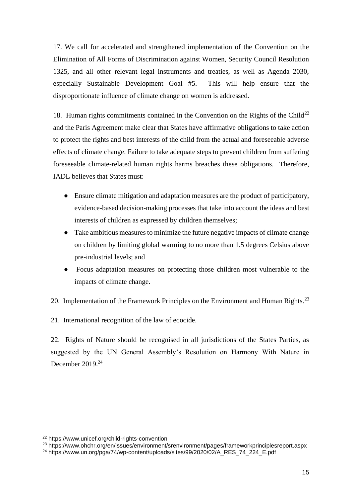17. We call for accelerated and strengthened implementation of the Convention on the Elimination of All Forms of Discrimination against Women, Security Council Resolution 1325, and all other relevant legal instruments and treaties, as well as Agenda 2030, especially Sustainable Development Goal #5. This will help ensure that the disproportionate influence of climate change on women is addressed.

18. Human rights commitments contained in the Convention on the Rights of the Child<sup>22</sup> and the Paris Agreement make clear that States have affirmative obligations to take action to protect the rights and best interests of the child from the actual and foreseeable adverse effects of climate change. Failure to take adequate steps to prevent children from suffering foreseeable climate-related human rights harms breaches these obligations. Therefore, IADL believes that States must:

- Ensure climate mitigation and adaptation measures are the product of participatory, evidence-based decision-making processes that take into account the ideas and best interests of children as expressed by children themselves;
- Take ambitious measures to minimize the future negative impacts of climate change on children by limiting global warming to no more than 1.5 degrees Celsius above pre-industrial levels; and
- Focus adaptation measures on protecting those children most vulnerable to the impacts of climate change.
- 20. Implementation of the Framework Principles on the Environment and Human Rights.<sup>23</sup>

21. International recognition of the law of ecocide.

22. Rights of Nature should be recognised in all jurisdictions of the States Parties, as suggested by the UN General Assembly's Resolution on Harmony With Nature in December  $2019.<sup>24</sup>$ 

<sup>22</sup> https://www.unicef.org/child-rights-convention

<sup>23</sup> https://www.ohchr.org/en/issues/environment/srenvironment/pages/frameworkprinciplesreport.aspx

<sup>&</sup>lt;sup>24</sup> https://www.un.org/pga/74/wp-content/uploads/sites/99/2020/02/A\_RES\_74\_224\_E.pdf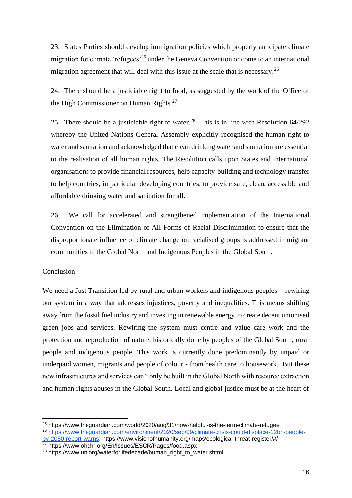23. States Parties should develop immigration policies which properly anticipate climate migration for climate 'refugees'<sup>25</sup> under the Geneva Convention or come to an international migration agreement that will deal with this issue at the scale that is necessary.<sup>26</sup>

24. There should be a justiciable right to food, as suggested by the work of the Office of the High Commissioner on Human Rights.<sup>27</sup>

25. There should be a justiciable right to water.<sup>28</sup> This is in line with Resolution  $64/292$ whereby the United Nations General Assembly explicitly recognised the human right to water and sanitation and acknowledged that clean drinking water and sanitation are essential to the realisation of all human rights. The Resolution calls upon States and international organisations to provide financial resources, help capacity-building and technology transfer to help countries, in particular developing countries, to provide safe, clean, accessible and affordable drinking water and sanitation for all.

26. We call for accelerated and strengthened implementation of the International Convention on the Elimination of All Forms of Racial Discrimination to ensure that the disproportionate influence of climate change on racialised groups is addressed in migrant communities in the Global North and Indigenous Peoples in the Global South.

### Conclusion

We need a Just Transition led by rural and urban workers and indigenous peoples – rewiring our system in a way that addresses injustices, poverty and inequalities. This means shifting away from the fossil fuel industry and investing in renewable energy to create decent unionised green jobs and services. Rewiring the system must centre and value care work and the protection and reproduction of nature, historically done by peoples of the Global South, rural people and indigenous people. This work is currently done predominantly by unpaid or underpaid women, migrants and people of colour - from health care to housework. But these new infrastructures and services can't only be built in the Global North with resource extraction and human rights abuses in the Global South. Local and global justice must be at the heart of

<sup>25</sup> https://www.theguardian.com/world/2020/aug/31/how-helpful-is-the-term-climate-refugee <sup>26</sup> [https://www.theguardian.com/environment/2020/sep/09/climate-crisis-could-displace-12bn-people-](https://www.theguardian.com/environment/2020/sep/09/climate-crisis-could-displace-12bn-people-by-2050-report-warns)

[by-2050-report-warns;](https://www.theguardian.com/environment/2020/sep/09/climate-crisis-could-displace-12bn-people-by-2050-report-warns) https://www.visionofhumanity.org/maps/ecological-threat-register/#/ <sup>27</sup> https://www.ohchr.org/En/Issues/ESCR/Pages/food.aspx

<sup>&</sup>lt;sup>28</sup> https://www.un.org/waterforlifedecade/human\_right\_to\_water.shtml